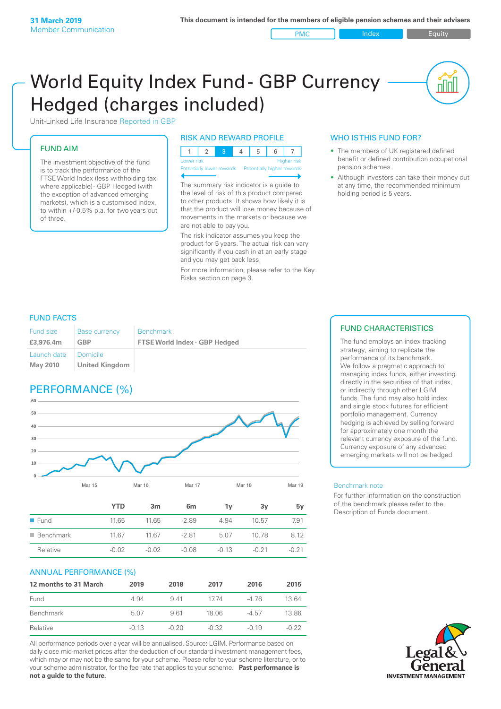PMC Index PMC Equity

nnl

# World Equity Index Fund- GBP Currency Hedged (charges included)



#### FUND AIM

The investment objective of the fund is to track the performance of the FTSE World Index (less withholding tax where applicable) - GBP Hedged (with the exception of advanced emerging markets), which is a customised index, to within +/‑0.5% p.a. for two years out of three.

#### RISK AND REWARD PROFILE

| Lower risk |  |  | <b>Higher</b> risk |
|------------|--|--|--------------------|

Potentially lower rewards Potentially higher re

The summary risk indicator is a guide to the level of risk of this product compared to other products. It shows how likely it is that the product will lose money because of movements in the markets or because we are not able to pay you.

The risk indicator assumes you keep the product for 5 years. The actual risk can vary significantly if you cash in at an early stage and you may get back less.

For more information, please refer to the Key Risks section on page 3.

#### WHO IS THIS FUND FOR?

- The members of UK registered defined benefit or defined contribution occupational pension schemes.
- Although investors can take their money out at any time, the recommended minimum holding period is 5 years.

#### FUND FACTS

| <b>Fund size</b>        | <b>Base currency</b>                     | <b>Benchmark</b>                     |
|-------------------------|------------------------------------------|--------------------------------------|
| £3,976.4m               | GBP                                      | <b>FTSE World Index - GBP Hedged</b> |
| Launch date<br>May 2010 | <i><b>Domicile</b></i><br>United Kingdom |                                      |

## PERFORMANCE (%)



|                          | <b>YTD</b> | 3m      | 6 <sub>m</sub> | 1v      | 3۷      | 5v      |
|--------------------------|------------|---------|----------------|---------|---------|---------|
| $\blacksquare$ Fund      | 11.65      | 11.65   | $-289$         | 4.94    | 10.57   | 7.91    |
| $\blacksquare$ Benchmark | 1167       | 11.67   | $-281$         | 5.07    | 10.78   | 8.12    |
| Relative                 | $-0.02$    | $-0.02$ | $-0.08$        | $-0.13$ | $-0.21$ | $-0.21$ |

#### ANNUAL PERFORMANCE (%)

| 12 months to 31 March | 2019    | 2018    | 2017    | 2016    | 2015    |
|-----------------------|---------|---------|---------|---------|---------|
| Fund                  | 4.94    | 941     | 1774    | -4 76   | 1364    |
| Benchmark             | 5.07    | 961     | 18.06   | $-4.57$ | 13.86   |
| Relative              | $-0.13$ | $-0.20$ | $-0.32$ | $-0.19$ | $-0.22$ |

All performance periods over a year will be annualised. Source: LGIM. Performance based on daily close mid-market prices after the deduction of our standard investment management fees, which may or may not be the same for your scheme. Please refer to your scheme literature, or to your scheme administrator, for the fee rate that applies to your scheme. **Past performance is not a guide to the future.**

### FUND CHARACTERISTICS

The fund employs an index tracking strategy, aiming to replicate the performance of its benchmark. We follow a pragmatic approach to managing index funds, either investing directly in the securities of that index, or indirectly through other LGIM funds. The fund may also hold index and single stock futures for efficient portfolio management. Currency hedging is achieved by selling forward for approximately one month the relevant currency exposure of the fund. Currency exposure of any advanced emerging markets will not be hedged.

#### Benchmark note

For further information on the construction of the benchmark please refer to the Description of Funds document.

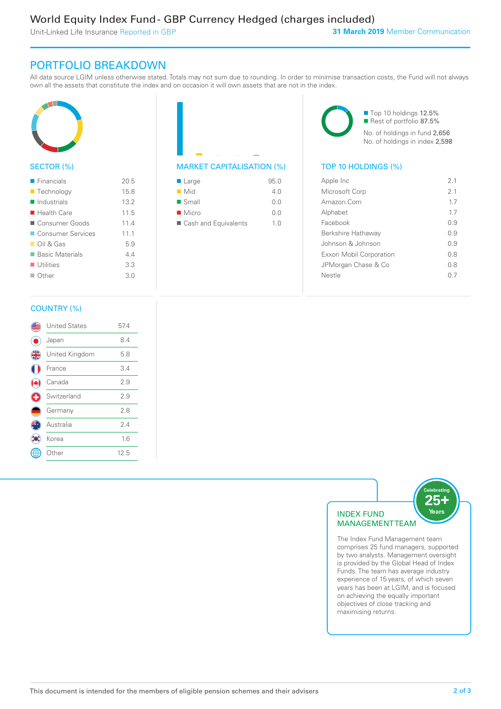Unit-Linked Life Insurance Reported in GBP

### PORTFOLIO BREAKDOWN

All data source LGIM unless otherwise stated. Totals may not sum due to rounding. In order to minimise transaction costs, the Fund will not always own all the assets that constitute the index and on occasion it will own assets that are not in the index.



#### SECTOR (%)

| $\blacksquare$ Financials  | 20.5 |
|----------------------------|------|
| ■ Technology               | 15.8 |
| $\blacksquare$ Industrials | 13.2 |
| $\blacksquare$ Health Care | 11.5 |
| Consumer Goods             | 11.4 |
| <b>Consumer Services</b>   | 11.1 |
| $\Box$ Oil & Gas           | 5.9  |
| ■ Basic Materials          | 44   |
| $\blacksquare$ Utilities   | 3.3  |
| $\Box$ Other               | 3.0  |
|                            |      |



| $\blacksquare$ Large | 95.0           |
|----------------------|----------------|
| $\blacksquare$ Mid   | 4 N            |
| $\blacksquare$ Small | 0.0            |
| $\blacksquare$ Micro | 0.0            |
| Cash and Equivalents | 1 <sub>0</sub> |

■ Top 10 holdings 12.5% Rest of portfolio 87.5% No. of holdings in fund 2,656 No. of holdings in index 2,598

| Apple Inc                      | 2.1  |
|--------------------------------|------|
| Microsoft Corp                 | 21   |
| Amazon.Com                     | 17   |
| Alphabet                       | 17   |
| Facebook                       | 0.9  |
| Berkshire Hathaway             | O 9  |
| Johnson & Johnson              | O 9  |
| <b>Exxon Mobil Corporation</b> | 0 S  |
| JPMorgan Chase & Co            | 0 S  |
| Nestle                         | () / |
|                                |      |

#### COUNTRY (%)

|   | <b>United States</b> | 57.4 |  |
|---|----------------------|------|--|
|   | Japan                | 8.4  |  |
| 4 | United Kingdom       | 5.8  |  |
|   | France               | 3.4  |  |
|   | Canada               | 2.9  |  |
| ÷ | Switzerland          | 2.9  |  |
|   | Germany              | 2.8  |  |
|   | Australia            | 2.4  |  |
|   | Korea                | 1.6  |  |
|   | Other                | 12.5 |  |
|   |                      |      |  |



The Index Fund Management team comprises 25 fund managers, supported by two analysts. Management oversight is provided by the Global Head of Index Funds. The team has average industry experience of 15 years, of which seven years has been at LGIM, and is focused on achieving the equally important objectives of close tracking and maximising returns.